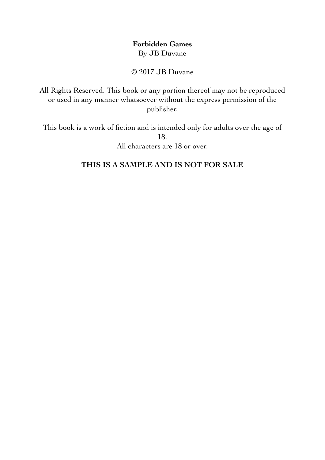# **Forbidden Games** By JB Duvane

# © 2017 JB Duvane

All Rights Reserved. This book or any portion thereof may not be reproduced or used in any manner whatsoever without the express permission of the publisher.

This book is a work of fiction and is intended only for adults over the age of 18.

All characters are 18 or over.

### **THIS IS A SAMPLE AND IS NOT FOR SALE**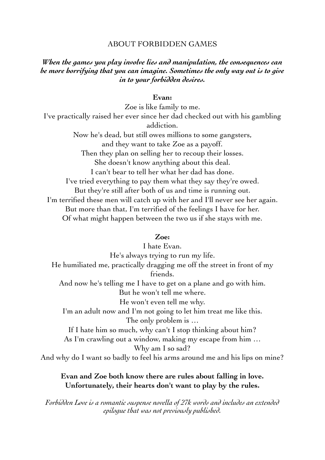### ABOUT FORBIDDEN GAMES

# *When the games you play involve lies and manipulation, the consequences can be more horrifying that you can imagine. Sometimes the only way out is to give in to your forbidden desires.*

#### **Evan:**

Zoe is like family to me. I've practically raised her ever since her dad checked out with his gambling addiction. Now he's dead, but still owes millions to some gangsters, and they want to take Zoe as a payoff. Then they plan on selling her to recoup their losses. She doesn't know anything about this deal. I can't bear to tell her what her dad has done. I've tried everything to pay them what they say they're owed. But they're still after both of us and time is running out. I'm terrified these men will catch up with her and I'll never see her again. But more than that, I'm terrified of the feelings I have for her. Of what might happen between the two us if she stays with me.

#### **Zoe:**

I hate Evan. He's always trying to run my life. He humiliated me, practically dragging me off the street in front of my friends. And now he's telling me I have to get on a plane and go with him. But he won't tell me where. He won't even tell me why. I'm an adult now and I'm not going to let him treat me like this. The only problem is … If I hate him so much, why can't I stop thinking about him? As I'm crawling out a window, making my escape from him … Why am I so sad? And why do I want so badly to feel his arms around me and his lips on mine?

# **Evan and Zoe both know there are rules about falling in love. Unfortunately, their hearts don't want to play by the rules.**

*Forbidden Love is a romantic suspense novella of 27k words and includes an extended epilogue that was not previously published.*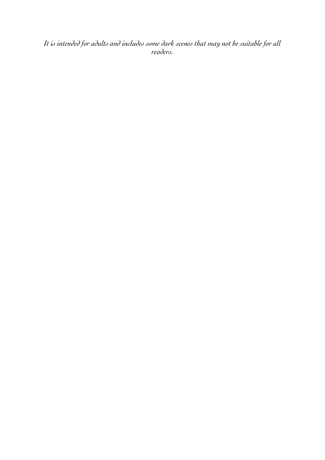*It is intended for adults and includes some dark scenes that may not be suitable for all readers.*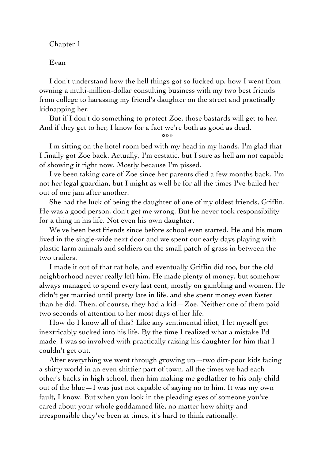Chapter 1

Evan

I don't understand how the hell things got so fucked up, how I went from owning a multi-million-dollar consulting business with my two best friends from college to harassing my friend's daughter on the street and practically kidnapping her.

But if I don't do something to protect Zoe, those bastards will get to her. And if they get to her, I know for a fact we're both as good as dead.

\*\*\*

I'm sitting on the hotel room bed with my head in my hands. I'm glad that I finally got Zoe back. Actually, I'm ecstatic, but I sure as hell am not capable of showing it right now. Mostly because I'm pissed.

I've been taking care of Zoe since her parents died a few months back. I'm not her legal guardian, but I might as well be for all the times I've bailed her out of one jam after another.

She had the luck of being the daughter of one of my oldest friends, Griffin. He was a good person, don't get me wrong. But he never took responsibility for a thing in his life. Not even his own daughter.

We've been best friends since before school even started. He and his mom lived in the single-wide next door and we spent our early days playing with plastic farm animals and soldiers on the small patch of grass in between the two trailers.

I made it out of that rat hole, and eventually Griffin did too, but the old neighborhood never really left him. He made plenty of money, but somehow always managed to spend every last cent, mostly on gambling and women. He didn't get married until pretty late in life, and she spent money even faster than he did. Then, of course, they had a kid—Zoe. Neither one of them paid two seconds of attention to her most days of her life.

How do I know all of this? Like any sentimental idiot, I let myself get inextricably sucked into his life. By the time I realized what a mistake I'd made, I was so involved with practically raising his daughter for him that I couldn't get out.

After everything we went through growing up—two dirt-poor kids facing a shitty world in an even shittier part of town, all the times we had each other's backs in high school, then him making me godfather to his only child out of the blue—I was just not capable of saying no to him. It was my own fault, I know. But when you look in the pleading eyes of someone you've cared about your whole goddamned life, no matter how shitty and irresponsible they've been at times, it's hard to think rationally.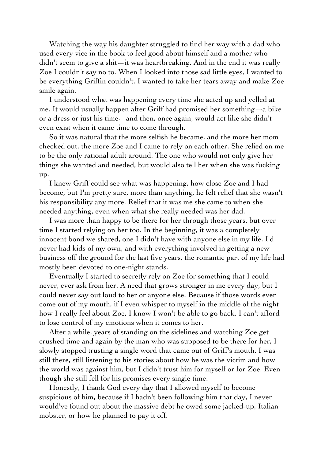Watching the way his daughter struggled to find her way with a dad who used every vice in the book to feel good about himself and a mother who didn't seem to give a shit—it was heartbreaking. And in the end it was really Zoe I couldn't say no to. When I looked into those sad little eyes, I wanted to be everything Griffin couldn't. I wanted to take her tears away and make Zoe smile again.

I understood what was happening every time she acted up and yelled at me. It would usually happen after Griff had promised her something—a bike or a dress or just his time—and then, once again, would act like she didn't even exist when it came time to come through.

So it was natural that the more selfish he became, and the more her mom checked out, the more Zoe and I came to rely on each other. She relied on me to be the only rational adult around. The one who would not only give her things she wanted and needed, but would also tell her when she was fucking up.

I knew Griff could see what was happening, how close Zoe and I had become, but I'm pretty sure, more than anything, he felt relief that she wasn't his responsibility any more. Relief that it was me she came to when she needed anything, even when what she really needed was her dad.

I was more than happy to be there for her through those years, but over time I started relying on her too. In the beginning, it was a completely innocent bond we shared, one I didn't have with anyone else in my life. I'd never had kids of my own, and with everything involved in getting a new business off the ground for the last five years, the romantic part of my life had mostly been devoted to one-night stands.

Eventually I started to secretly rely on Zoe for something that I could never, ever ask from her. A need that grows stronger in me every day, but I could never say out loud to her or anyone else. Because if those words ever come out of my mouth, if I even whisper to myself in the middle of the night how I really feel about Zoe, I know I won't be able to go back. I can't afford to lose control of my emotions when it comes to her.

After a while, years of standing on the sidelines and watching Zoe get crushed time and again by the man who was supposed to be there for her, I slowly stopped trusting a single word that came out of Griff's mouth. I was still there, still listening to his stories about how he was the victim and how the world was against him, but I didn't trust him for myself or for Zoe. Even though she still fell for his promises every single time.

Honestly, I thank God every day that I allowed myself to become suspicious of him, because if I hadn't been following him that day, I never would've found out about the massive debt he owed some jacked-up, Italian mobster, or how he planned to pay it off.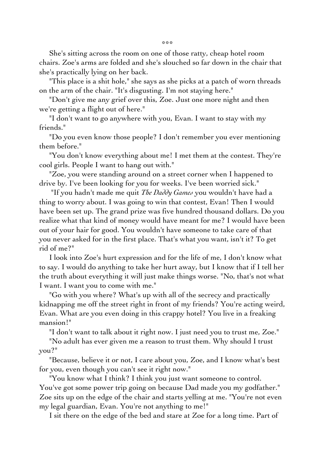She's sitting across the room on one of those ratty, cheap hotel room chairs. Zoe's arms are folded and she's slouched so far down in the chair that she's practically lying on her back.

"This place is a shit hole," she says as she picks at a patch of worn threads on the arm of the chair. "It's disgusting. I'm not staying here."

"Don't give me any grief over this, Zoe. Just one more night and then we're getting a flight out of here."

"I don't want to go anywhere with you, Evan. I want to stay with my friends."

"Do you even know those people? I don't remember you ever mentioning them before."

"You don't know everything about me! I met them at the contest. They're cool girls. People I want to hang out with."

"Zoe, you were standing around on a street corner when I happened to drive by. I've been looking for you for weeks. I've been worried sick."

 "If you hadn't made me quit *The Daddy Games* you wouldn't have had a thing to worry about. I was going to win that contest, Evan! Then I would have been set up. The grand prize was five hundred thousand dollars. Do you realize what that kind of money would have meant for me? I would have been out of your hair for good. You wouldn't have someone to take care of that you never asked for in the first place. That's what you want, isn't it? To get rid of me?"

I look into Zoe's hurt expression and for the life of me, I don't know what to say. I would do anything to take her hurt away, but I know that if I tell her the truth about everything it will just make things worse. "No, that's not what I want. I want you to come with me."

"Go with you where? What's up with all of the secrecy and practically kidnapping me off the street right in front of my friends? You're acting weird, Evan. What are you even doing in this crappy hotel? You live in a freaking mansion!"

"I don't want to talk about it right now. I just need you to trust me, Zoe."

"No adult has ever given me a reason to trust them. Why should I trust you?"

"Because, believe it or not, I care about you, Zoe, and I know what's best for you, even though you can't see it right now."

"You know what I think? I think you just want someone to control. You've got some power trip going on because Dad made you my godfather." Zoe sits up on the edge of the chair and starts yelling at me. "You're not even my legal guardian, Evan. You're not anything to me!"

I sit there on the edge of the bed and stare at Zoe for a long time. Part of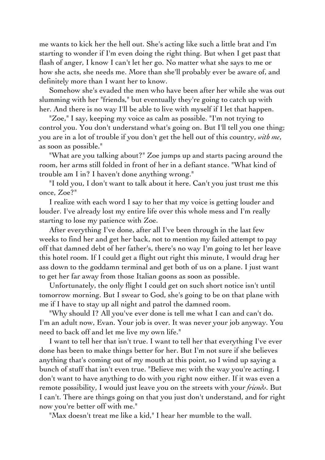me wants to kick her the hell out. She's acting like such a little brat and I'm starting to wonder if I'm even doing the right thing. But when I get past that flash of anger, I know I can't let her go. No matter what she says to me or how she acts, she needs me. More than she'll probably ever be aware of, and definitely more than I want her to know.

Somehow she's evaded the men who have been after her while she was out slumming with her "friends," but eventually they're going to catch up with her. And there is no way I'll be able to live with myself if I let that happen.

"Zoe," I say, keeping my voice as calm as possible. "I'm not trying to control you. You don't understand what's going on. But I'll tell you one thing; you are in a lot of trouble if you don't get the hell out of this country, *with me*, as soon as possible."

"What are you talking about?" Zoe jumps up and starts pacing around the room, her arms still folded in front of her in a defiant stance. "What kind of trouble am I in? I haven't done anything wrong."

"I told you, I don't want to talk about it here. Can't you just trust me this once, Zoe?"

I realize with each word I say to her that my voice is getting louder and louder. I've already lost my entire life over this whole mess and I'm really starting to lose my patience with Zoe.

After everything I've done, after all I've been through in the last few weeks to find her and get her back, not to mention my failed attempt to pay off that damned debt of her father's, there's no way I'm going to let her leave this hotel room. If I could get a flight out right this minute, I would drag her ass down to the goddamn terminal and get both of us on a plane. I just want to get her far away from those Italian goons as soon as possible.

Unfortunately, the only flight I could get on such short notice isn't until tomorrow morning. But I swear to God, she's going to be on that plane with me if I have to stay up all night and patrol the damned room.

"Why should I? All you've ever done is tell me what I can and can't do. I'm an adult now, Evan. Your job is over. It was never your job anyway. You need to back off and let me live my own life."

I want to tell her that isn't true. I want to tell her that everything I've ever done has been to make things better for her. But I'm not sure if she believes anything that's coming out of my mouth at this point, so I wind up saying a bunch of stuff that isn't even true. "Believe me; with the way you're acting, I don't want to have anything to do with you right now either. If it was even a remote possibility, I would just leave you on the streets with your *friends*. But I can't. There are things going on that you just don't understand, and for right now you're better off with me."

"Max doesn't treat me like a kid," I hear her mumble to the wall.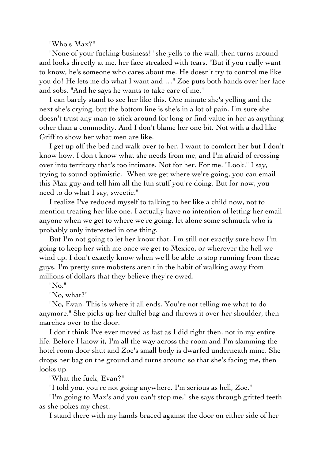"Who's Max?"

"None of your fucking business!" she yells to the wall, then turns around and looks directly at me, her face streaked with tears. "But if you really want to know, he's someone who cares about me. He doesn't try to control me like you do! He lets me do what I want and …" Zoe puts both hands over her face and sobs. "And he says he wants to take care of me."

I can barely stand to see her like this. One minute she's yelling and the next she's crying, but the bottom line is she's in a lot of pain. I'm sure she doesn't trust any man to stick around for long or find value in her as anything other than a commodity. And I don't blame her one bit. Not with a dad like Griff to show her what men are like.

I get up off the bed and walk over to her. I want to comfort her but I don't know how. I don't know what she needs from me, and I'm afraid of crossing over into territory that's too intimate. Not for her. For me. "Look," I say, trying to sound optimistic. "When we get where we're going, you can email this Max guy and tell him all the fun stuff you're doing. But for now, you need to do what I say, sweetie."

I realize I've reduced myself to talking to her like a child now, not to mention treating her like one. I actually have no intention of letting her email anyone when we get to where we're going, let alone some schmuck who is probably only interested in one thing.

But I'm not going to let her know that. I'm still not exactly sure how I'm going to keep her with me once we get to Mexico, or wherever the hell we wind up. I don't exactly know when we'll be able to stop running from these guys. I'm pretty sure mobsters aren't in the habit of walking away from millions of dollars that they believe they're owed.

"No."

"No, what?"

"No, Evan. This is where it all ends. You're not telling me what to do anymore." She picks up her duffel bag and throws it over her shoulder, then marches over to the door.

I don't think I've ever moved as fast as I did right then, not in my entire life. Before I know it, I'm all the way across the room and I'm slamming the hotel room door shut and Zoe's small body is dwarfed underneath mine. She drops her bag on the ground and turns around so that she's facing me, then looks up.

"What the fuck, Evan?"

"I told you, you're not going anywhere. I'm serious as hell, Zoe."

"I'm going to Max's and you can't stop me," she says through gritted teeth as she pokes my chest.

I stand there with my hands braced against the door on either side of her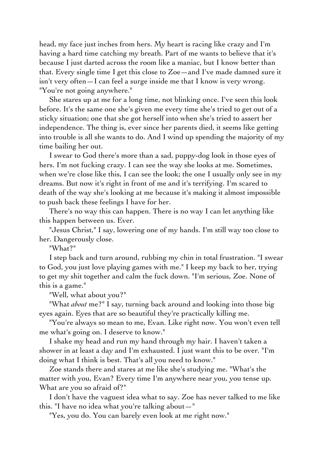head, my face just inches from hers. My heart is racing like crazy and I'm having a hard time catching my breath. Part of me wants to believe that it's because I just darted across the room like a maniac, but I know better than that. Every single time I get this close to Zoe—and I've made damned sure it isn't very often—I can feel a surge inside me that I know is very wrong. "You're not going anywhere."

She stares up at me for a long time, not blinking once. I've seen this look before. It's the same one she's given me every time she's tried to get out of a sticky situation; one that she got herself into when she's tried to assert her independence. The thing is, ever since her parents died, it seems like getting into trouble is all she wants to do. And I wind up spending the majority of my time bailing her out.

I swear to God there's more than a sad, puppy-dog look in those eyes of hers. I'm not fucking crazy. I can see the way she looks at me. Sometimes, when we're close like this, I can see the look; the one I usually only see in my dreams. But now it's right in front of me and it's terrifying. I'm scared to death of the way she's looking at me because it's making it almost impossible to push back these feelings I have for her.

There's no way this can happen. There is no way I can let anything like this happen between us. Ever.

"Jesus Christ," I say, lowering one of my hands. I'm still way too close to her. Dangerously close.

"What?"

I step back and turn around, rubbing my chin in total frustration. "I swear to God, you just love playing games with me." I keep my back to her, trying to get my shit together and calm the fuck down. "I'm serious, Zoe. None of this is a game."

"Well, what about you?"

"What *about* me?" I say, turning back around and looking into those big eyes again. Eyes that are so beautiful they're practically killing me.

"You're always so mean to me, Evan. Like right now. You won't even tell me what's going on. I deserve to know."

I shake my head and run my hand through my hair. I haven't taken a shower in at least a day and I'm exhausted. I just want this to be over. "I'm doing what I think is best. That's all you need to know."

Zoe stands there and stares at me like she's studying me. "What's the matter with you, Evan? Every time I'm anywhere near you, you tense up. What are you so afraid of?"

I don't have the vaguest idea what to say. Zoe has never talked to me like this. "I have no idea what you're talking about—"

"Yes, you do. You can barely even look at me right now."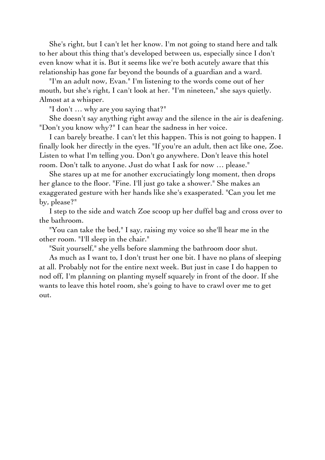She's right, but I can't let her know. I'm not going to stand here and talk to her about this thing that's developed between us, especially since I don't even know what it is. But it seems like we're both acutely aware that this relationship has gone far beyond the bounds of a guardian and a ward.

"I'm an adult now, Evan." I'm listening to the words come out of her mouth, but she's right, I can't look at her. "I'm nineteen," she says quietly. Almost at a whisper.

"I don't … why are you saying that?"

She doesn't say anything right away and the silence in the air is deafening. "Don't you know why?" I can hear the sadness in her voice.

I can barely breathe. I can't let this happen. This is not going to happen. I finally look her directly in the eyes. "If you're an adult, then act like one, Zoe. Listen to what I'm telling you. Don't go anywhere. Don't leave this hotel room. Don't talk to anyone. Just do what I ask for now … please."

She stares up at me for another excruciatingly long moment, then drops her glance to the floor. "Fine. I'll just go take a shower." She makes an exaggerated gesture with her hands like she's exasperated. "Can you let me by, please?"

I step to the side and watch Zoe scoop up her duffel bag and cross over to the bathroom.

"You can take the bed," I say, raising my voice so she'll hear me in the other room. "I'll sleep in the chair."

"Suit yourself," she yells before slamming the bathroom door shut.

As much as I want to, I don't trust her one bit. I have no plans of sleeping at all. Probably not for the entire next week. But just in case I do happen to nod off, I'm planning on planting myself squarely in front of the door. If she wants to leave this hotel room, she's going to have to crawl over me to get out.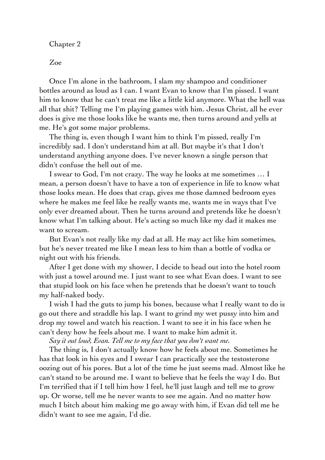Chapter 2

Zoe

Once I'm alone in the bathroom, I slam my shampoo and conditioner bottles around as loud as I can. I want Evan to know that I'm pissed. I want him to know that he can't treat me like a little kid anymore. What the hell was all that shit? Telling me I'm playing games with him. Jesus Christ, all he ever does is give me those looks like he wants me, then turns around and yells at me. He's got some major problems.

The thing is, even though I want him to think I'm pissed, really I'm incredibly sad. I don't understand him at all. But maybe it's that I don't understand anything anyone does. I've never known a single person that didn't confuse the hell out of me.

I swear to God, I'm not crazy. The way he looks at me sometimes … I mean, a person doesn't have to have a ton of experience in life to know what those looks mean. He does that crap, gives me those damned bedroom eyes where he makes me feel like he really wants me, wants me in ways that I've only ever dreamed about. Then he turns around and pretends like he doesn't know what I'm talking about. He's acting so much like my dad it makes me want to scream.

But Evan's not really like my dad at all. He may act like him sometimes, but he's never treated me like I mean less to him than a bottle of vodka or night out with his friends.

After I get done with my shower, I decide to head out into the hotel room with just a towel around me. I just want to see what Evan does. I want to see that stupid look on his face when he pretends that he doesn't want to touch my half-naked body.

I wish I had the guts to jump his bones, because what I really want to do is go out there and straddle his lap. I want to grind my wet pussy into him and drop my towel and watch his reaction. I want to see it in his face when he can't deny how he feels about me. I want to make him admit it.

*Say it out loud, Evan. Tell me to my face that you don't want me.*

The thing is, I don't actually know how he feels about me. Sometimes he has that look in his eyes and I swear I can practically see the testosterone oozing out of his pores. But a lot of the time he just seems mad. Almost like he can't stand to be around me. I want to believe that he feels the way I do. But I'm terrified that if I tell him how I feel, he'll just laugh and tell me to grow up. Or worse, tell me he never wants to see me again. And no matter how much I bitch about him making me go away with him, if Evan did tell me he didn't want to see me again, I'd die.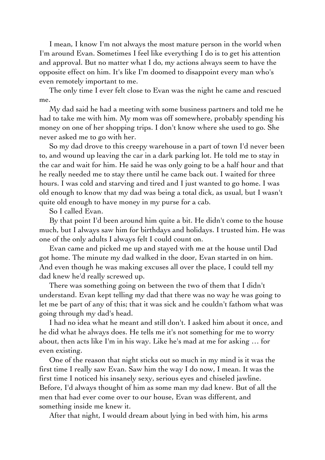I mean, I know I'm not always the most mature person in the world when I'm around Evan. Sometimes I feel like everything I do is to get his attention and approval. But no matter what I do, my actions always seem to have the opposite effect on him. It's like I'm doomed to disappoint every man who's even remotely important to me.

The only time I ever felt close to Evan was the night he came and rescued me.

My dad said he had a meeting with some business partners and told me he had to take me with him. My mom was off somewhere, probably spending his money on one of her shopping trips. I don't know where she used to go. She never asked me to go with her.

So my dad drove to this creepy warehouse in a part of town I'd never been to, and wound up leaving the car in a dark parking lot. He told me to stay in the car and wait for him. He said he was only going to be a half hour and that he really needed me to stay there until he came back out. I waited for three hours. I was cold and starving and tired and I just wanted to go home. I was old enough to know that my dad was being a total dick, as usual, but I wasn't quite old enough to have money in my purse for a cab.

So I called Evan.

By that point I'd been around him quite a bit. He didn't come to the house much, but I always saw him for birthdays and holidays. I trusted him. He was one of the only adults I always felt I could count on.

Evan came and picked me up and stayed with me at the house until Dad got home. The minute my dad walked in the door, Evan started in on him. And even though he was making excuses all over the place, I could tell my dad knew he'd really screwed up.

There was something going on between the two of them that I didn't understand. Evan kept telling my dad that there was no way he was going to let me be part of any of this; that it was sick and he couldn't fathom what was going through my dad's head.

I had no idea what he meant and still don't. I asked him about it once, and he did what he always does. He tells me it's not something for me to worry about, then acts like I'm in his way. Like he's mad at me for asking … for even existing.

One of the reason that night sticks out so much in my mind is it was the first time I really saw Evan. Saw him the way I do now, I mean. It was the first time I noticed his insanely sexy, serious eyes and chiseled jawline. Before, I'd always thought of him as some man my dad knew. But of all the men that had ever come over to our house, Evan was different, and something inside me knew it.

After that night, I would dream about lying in bed with him, his arms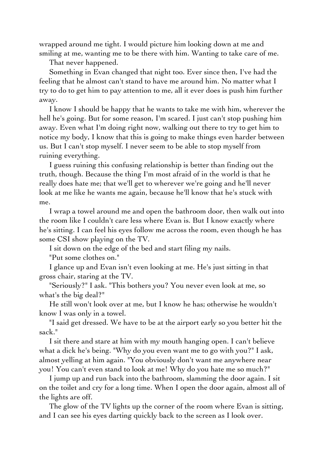wrapped around me tight. I would picture him looking down at me and smiling at me, wanting me to be there with him. Wanting to take care of me.

That never happened.

Something in Evan changed that night too. Ever since then, I've had the feeling that he almost can't stand to have me around him. No matter what I try to do to get him to pay attention to me, all it ever does is push him further away.

I know I should be happy that he wants to take me with him, wherever the hell he's going. But for some reason, I'm scared. I just can't stop pushing him away. Even what I'm doing right now, walking out there to try to get him to notice my body, I know that this is going to make things even harder between us. But I can't stop myself. I never seem to be able to stop myself from ruining everything.

I guess ruining this confusing relationship is better than finding out the truth, though. Because the thing I'm most afraid of in the world is that he really does hate me; that we'll get to wherever we're going and he'll never look at me like he wants me again, because he'll know that he's stuck with me.

I wrap a towel around me and open the bathroom door, then walk out into the room like I couldn't care less where Evan is. But I know exactly where he's sitting. I can feel his eyes follow me across the room, even though he has some CSI show playing on the TV.

I sit down on the edge of the bed and start filing my nails.

"Put some clothes on."

I glance up and Evan isn't even looking at me. He's just sitting in that gross chair, staring at the TV.

"Seriously?" I ask. "This bothers you? You never even look at me, so what's the big deal?"

He still won't look over at me, but I know he has; otherwise he wouldn't know I was only in a towel.

"I said get dressed. We have to be at the airport early so you better hit the sack."

I sit there and stare at him with my mouth hanging open. I can't believe what a dick he's being. "Why do you even want me to go with you?" I ask, almost yelling at him again. "You obviously don't want me anywhere near you! You can't even stand to look at me! Why do you hate me so much?"

I jump up and run back into the bathroom, slamming the door again. I sit on the toilet and cry for a long time. When I open the door again, almost all of the lights are off.

The glow of the TV lights up the corner of the room where Evan is sitting, and I can see his eyes darting quickly back to the screen as I look over.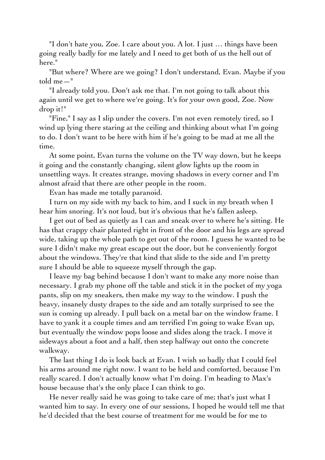"I don't hate you, Zoe. I care about you. A lot. I just … things have been going really badly for me lately and I need to get both of us the hell out of here."

"But where? Where are we going? I don't understand, Evan. Maybe if you told me—"

"I already told you. Don't ask me that. I'm not going to talk about this again until we get to where we're going. It's for your own good, Zoe. Now drop it!"

"Fine," I say as I slip under the covers. I'm not even remotely tired, so I wind up lying there staring at the ceiling and thinking about what I'm going to do. I don't want to be here with him if he's going to be mad at me all the time.

At some point, Evan turns the volume on the TV way down, but he keeps it going and the constantly changing, silent glow lights up the room in unsettling ways. It creates strange, moving shadows in every corner and I'm almost afraid that there are other people in the room.

Evan has made me totally paranoid.

I turn on my side with my back to him, and I suck in my breath when I hear him snoring. It's not loud, but it's obvious that he's fallen asleep.

I get out of bed as quietly as I can and sneak over to where he's sitting. He has that crappy chair planted right in front of the door and his legs are spread wide, taking up the whole path to get out of the room. I guess he wanted to be sure I didn't make my great escape out the door, but he conveniently forgot about the windows. They're that kind that slide to the side and I'm pretty sure I should be able to squeeze myself through the gap.

I leave my bag behind because I don't want to make any more noise than necessary. I grab my phone off the table and stick it in the pocket of my yoga pants, slip on my sneakers, then make my way to the window. I push the heavy, insanely dusty drapes to the side and am totally surprised to see the sun is coming up already. I pull back on a metal bar on the window frame. I have to yank it a couple times and am terrified I'm going to wake Evan up, but eventually the window pops loose and slides along the track. I move it sideways about a foot and a half, then step halfway out onto the concrete walkway.

The last thing I do is look back at Evan. I wish so badly that I could feel his arms around me right now. I want to be held and comforted, because I'm really scared. I don't actually know what I'm doing. I'm heading to Max's house because that's the only place I can think to go.

He never really said he was going to take care of me; that's just what I wanted him to say. In every one of our sessions, I hoped he would tell me that he'd decided that the best course of treatment for me would be for me to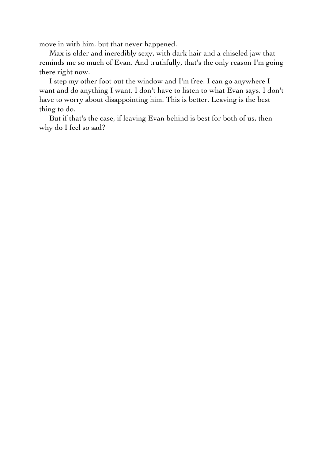move in with him, but that never happened.

Max is older and incredibly sexy, with dark hair and a chiseled jaw that reminds me so much of Evan. And truthfully, that's the only reason I'm going there right now.

I step my other foot out the window and I'm free. I can go anywhere I want and do anything I want. I don't have to listen to what Evan says. I don't have to worry about disappointing him. This is better. Leaving is the best thing to do.

But if that's the case, if leaving Evan behind is best for both of us, then why do I feel so sad?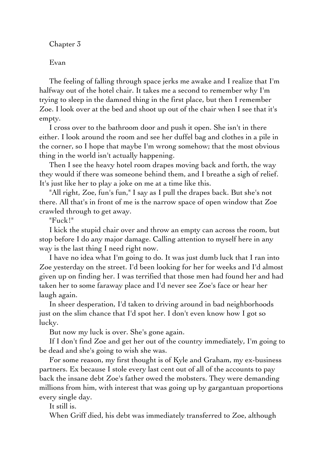Chapter 3

### Evan

The feeling of falling through space jerks me awake and I realize that I'm halfway out of the hotel chair. It takes me a second to remember why I'm trying to sleep in the damned thing in the first place, but then I remember Zoe. I look over at the bed and shoot up out of the chair when I see that it's empty.

I cross over to the bathroom door and push it open. She isn't in there either. I look around the room and see her duffel bag and clothes in a pile in the corner, so I hope that maybe I'm wrong somehow; that the most obvious thing in the world isn't actually happening.

Then I see the heavy hotel room drapes moving back and forth, the way they would if there was someone behind them, and I breathe a sigh of relief. It's just like her to play a joke on me at a time like this.

"All right, Zoe, fun's fun," I say as I pull the drapes back. But she's not there. All that's in front of me is the narrow space of open window that Zoe crawled through to get away.

"Fuck!"

I kick the stupid chair over and throw an empty can across the room, but stop before I do any major damage. Calling attention to myself here in any way is the last thing I need right now.

I have no idea what I'm going to do. It was just dumb luck that I ran into Zoe yesterday on the street. I'd been looking for her for weeks and I'd almost given up on finding her. I was terrified that those men had found her and had taken her to some faraway place and I'd never see Zoe's face or hear her laugh again.

In sheer desperation, I'd taken to driving around in bad neighborhoods just on the slim chance that I'd spot her. I don't even know how I got so lucky.

But now my luck is over. She's gone again.

If I don't find Zoe and get her out of the country immediately, I'm going to be dead and she's going to wish she was.

For some reason, my first thought is of Kyle and Graham, my ex-business partners. Ex because I stole every last cent out of all of the accounts to pay back the insane debt Zoe's father owed the mobsters. They were demanding millions from him, with interest that was going up by gargantuan proportions every single day.

It still is.

When Griff died, his debt was immediately transferred to Zoe, although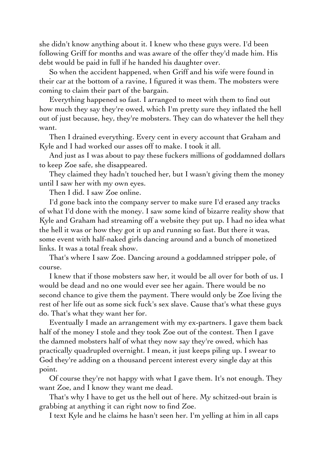she didn't know anything about it. I knew who these guys were. I'd been following Griff for months and was aware of the offer they'd made him. His debt would be paid in full if he handed his daughter over.

So when the accident happened, when Griff and his wife were found in their car at the bottom of a ravine, I figured it was them. The mobsters were coming to claim their part of the bargain.

Everything happened so fast. I arranged to meet with them to find out how much they say they're owed, which I'm pretty sure they inflated the hell out of just because, hey, they're mobsters. They can do whatever the hell they want.

Then I drained everything. Every cent in every account that Graham and Kyle and I had worked our asses off to make. I took it all.

And just as I was about to pay these fuckers millions of goddamned dollars to keep Zoe safe, she disappeared.

They claimed they hadn't touched her, but I wasn't giving them the money until I saw her with my own eyes.

Then I did. I saw Zoe online.

I'd gone back into the company server to make sure I'd erased any tracks of what I'd done with the money. I saw some kind of bizarre reality show that Kyle and Graham had streaming off a website they put up. I had no idea what the hell it was or how they got it up and running so fast. But there it was, some event with half-naked girls dancing around and a bunch of monetized links. It was a total freak show.

That's where I saw Zoe. Dancing around a goddamned stripper pole, of course.

I knew that if those mobsters saw her, it would be all over for both of us. I would be dead and no one would ever see her again. There would be no second chance to give them the payment. There would only be Zoe living the rest of her life out as some sick fuck's sex slave. Cause that's what these guys do. That's what they want her for.

Eventually I made an arrangement with my ex-partners. I gave them back half of the money I stole and they took Zoe out of the contest. Then I gave the damned mobsters half of what they now say they're owed, which has practically quadrupled overnight. I mean, it just keeps piling up. I swear to God they're adding on a thousand percent interest every single day at this point.

Of course they're not happy with what I gave them. It's not enough. They want Zoe, and I know they want me dead.

That's why I have to get us the hell out of here. My schitzed-out brain is grabbing at anything it can right now to find Zoe.

I text Kyle and he claims he hasn't seen her. I'm yelling at him in all caps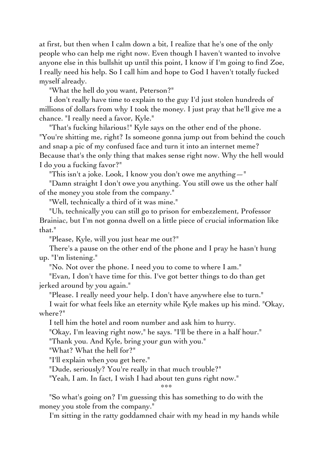at first, but then when I calm down a bit, I realize that he's one of the only people who can help me right now. Even though I haven't wanted to involve anyone else in this bullshit up until this point, I know if I'm going to find Zoe, I really need his help. So I call him and hope to God I haven't totally fucked myself already.

"What the hell do you want, Peterson?"

I don't really have time to explain to the guy I'd just stolen hundreds of millions of dollars from why I took the money. I just pray that he'll give me a chance. "I really need a favor, Kyle."

"That's fucking hilarious!" Kyle says on the other end of the phone. "You're shitting me, right? Is someone gonna jump out from behind the couch and snap a pic of my confused face and turn it into an internet meme? Because that's the only thing that makes sense right now. Why the hell would I do you a fucking favor?"

"This isn't a joke. Look, I know you don't owe me anything  $-$ "

"Damn straight I don't owe you anything. You still owe us the other half of the money you stole from the company."

"Well, technically a third of it was mine."

"Uh, technically you can still go to prison for embezzlement, Professor Brainiac, but I'm not gonna dwell on a little piece of crucial information like that."

"Please, Kyle, will you just hear me out?"

There's a pause on the other end of the phone and I pray he hasn't hung up. "I'm listening."

"No. Not over the phone. I need you to come to where I am."

"Evan, I don't have time for this. I've got better things to do than get jerked around by you again."

"Please. I really need your help. I don't have anywhere else to turn."

I wait for what feels like an eternity while Kyle makes up his mind. "Okay, where?"

I tell him the hotel and room number and ask him to hurry.

"Okay, I'm leaving right now," he says. "I'll be there in a half hour."

"Thank you. And Kyle, bring your gun with you."

"What? What the hell for?"

"I'll explain when you get here."

"Dude, seriously? You're really in that much trouble?"

"Yeah, I am. In fact, I wish I had about ten guns right now."

\*\*\*

"So what's going on? I'm guessing this has something to do with the money you stole from the company."

I'm sitting in the ratty goddamned chair with my head in my hands while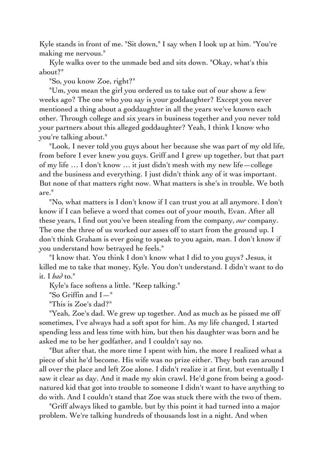Kyle stands in front of me. "Sit down," I say when I look up at him. "You're making me nervous."

Kyle walks over to the unmade bed and sits down. "Okay, what's this about?"

"So, you know Zoe, right?"

"Um, you mean the girl you ordered us to take out of our show a few weeks ago? The one who you say is your goddaughter? Except you never mentioned a thing about a goddaughter in all the years we've known each other. Through college and six years in business together and you never told your partners about this alleged goddaughter? Yeah, I think I know who you're talking about."

"Look, I never told you guys about her because she was part of my old life, from before I ever knew you guys. Griff and I grew up together, but that part of my life … I don't know … it just didn't mesh with my new life—college and the business and everything. I just didn't think any of it was important. But none of that matters right now. What matters is she's in trouble. We both are."

"No, what matters is I don't know if I can trust you at all anymore. I don't know if I can believe a word that comes out of your mouth, Evan. After all these years, I find out you've been stealing from the company, *our* company. The one the three of us worked our asses off to start from the ground up. I don't think Graham is ever going to speak to you again, man. I don't know if you understand how betrayed he feels."

"I know that. You think I don't know what I did to you guys? Jesus, it killed me to take that money, Kyle. You don't understand. I didn't want to do it. I *had* to."

Kyle's face softens a little. "Keep talking."

"So Griffin and I—"

"This is Zoe's dad?"

"Yeah, Zoe's dad. We grew up together. And as much as he pissed me off sometimes, I've always had a soft spot for him. As my life changed, I started spending less and less time with him, but then his daughter was born and he asked me to be her godfather, and I couldn't say no.

"But after that, the more time I spent with him, the more I realized what a piece of shit he'd become. His wife was no prize either. They both ran around all over the place and left Zoe alone. I didn't realize it at first, but eventually I saw it clear as day. And it made my skin crawl. He'd gone from being a goodnatured kid that got into trouble to someone I didn't want to have anything to do with. And I couldn't stand that Zoe was stuck there with the two of them.

"Griff always liked to gamble, but by this point it had turned into a major problem. We're talking hundreds of thousands lost in a night. And when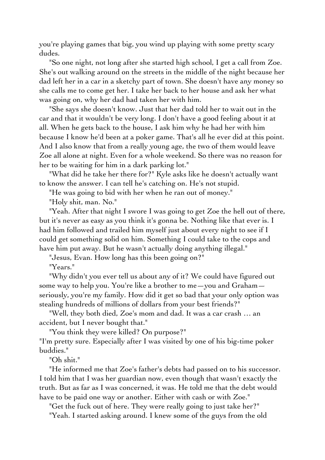you're playing games that big, you wind up playing with some pretty scary dudes.

"So one night, not long after she started high school, I get a call from Zoe. She's out walking around on the streets in the middle of the night because her dad left her in a car in a sketchy part of town. She doesn't have any money so she calls me to come get her. I take her back to her house and ask her what was going on, why her dad had taken her with him.

"She says she doesn't know. Just that her dad told her to wait out in the car and that it wouldn't be very long. I don't have a good feeling about it at all. When he gets back to the house, I ask him why he had her with him because I know he'd been at a poker game. That's all he ever did at this point. And I also know that from a really young age, the two of them would leave Zoe all alone at night. Even for a whole weekend. So there was no reason for her to be waiting for him in a dark parking lot."

"What did he take her there for?" Kyle asks like he doesn't actually want to know the answer. I can tell he's catching on. He's not stupid.

"He was going to bid with her when he ran out of money."

"Holy shit, man. No."

"Yeah. After that night I swore I was going to get Zoe the hell out of there, but it's never as easy as you think it's gonna be. Nothing like that ever is. I had him followed and trailed him myself just about every night to see if I could get something solid on him. Something I could take to the cops and have him put away. But he wasn't actually doing anything illegal."

"Jesus, Evan. How long has this been going on?"

"Years."

"Why didn't you ever tell us about any of it? We could have figured out some way to help you. You're like a brother to me  $-\gamma$ ou and Graham  $-\gamma$ seriously, you're my family. How did it get so bad that your only option was stealing hundreds of millions of dollars from your best friends?"

"Well, they both died, Zoe's mom and dad. It was a car crash … an accident, but I never bought that."

"You think they were killed? On purpose?"

"I'm pretty sure. Especially after I was visited by one of his big-time poker buddies."

"Oh shit."

"He informed me that Zoe's father's debts had passed on to his successor. I told him that I was her guardian now, even though that wasn't exactly the truth. But as far as I was concerned, it was. He told me that the debt would have to be paid one way or another. Either with cash or with Zoe."

"Get the fuck out of here. They were really going to just take her?"

"Yeah. I started asking around. I knew some of the guys from the old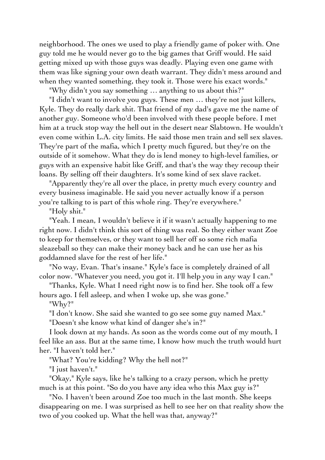neighborhood. The ones we used to play a friendly game of poker with. One guy told me he would never go to the big games that Griff would. He said getting mixed up with those guys was deadly. Playing even one game with them was like signing your own death warrant. They didn't mess around and when they wanted something, they took it. Those were his exact words."

"Why didn't you say something … anything to us about this?"

"I didn't want to involve you guys. These men … they're not just killers, Kyle. They do really dark shit. That friend of my dad's gave me the name of another guy. Someone who'd been involved with these people before. I met him at a truck stop way the hell out in the desert near Slabtown. He wouldn't even come within L.A. city limits. He said those men train and sell sex slaves. They're part of the mafia, which I pretty much figured, but they're on the outside of it somehow. What they do is lend money to high-level families, or guys with an expensive habit like Griff, and that's the way they recoup their loans. By selling off their daughters. It's some kind of sex slave racket.

"Apparently they're all over the place, in pretty much every country and every business imaginable. He said you never actually know if a person you're talking to is part of this whole ring. They're everywhere."

"Holy shit."

"Yeah. I mean, I wouldn't believe it if it wasn't actually happening to me right now. I didn't think this sort of thing was real. So they either want Zoe to keep for themselves, or they want to sell her off so some rich mafia sleazeball so they can make their money back and he can use her as his goddamned slave for the rest of her life."

"No way, Evan. That's insane." Kyle's face is completely drained of all color now. "Whatever you need, you got it. I'll help you in any way I can."

"Thanks, Kyle. What I need right now is to find her. She took off a few hours ago. I fell asleep, and when I woke up, she was gone."

"Why?"

"I don't know. She said she wanted to go see some guy named Max."

"Doesn't she know what kind of danger she's in?"

I look down at my hands. As soon as the words come out of my mouth, I feel like an ass. But at the same time, I know how much the truth would hurt her. "I haven't told her."

"What? You're kidding? Why the hell not?"

"I just haven't."

"Okay," Kyle says, like he's talking to a crazy person, which he pretty much is at this point. "So do you have any idea who this Max guy is?"

"No. I haven't been around Zoe too much in the last month. She keeps disappearing on me. I was surprised as hell to see her on that reality show the two of you cooked up. What the hell was that, anyway?"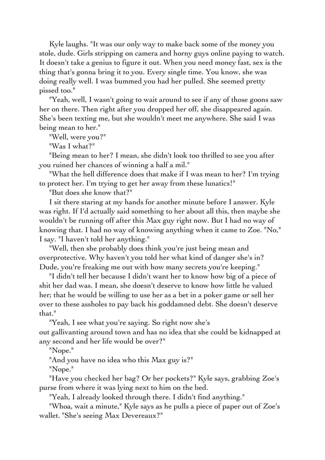Kyle laughs. "It was our only way to make back some of the money you stole, dude. Girls stripping on camera and horny guys online paying to watch. It doesn't take a genius to figure it out. When you need money fast, sex is the thing that's gonna bring it to you. Every single time. You know, she was doing really well. I was bummed you had her pulled. She seemed pretty pissed too."

"Yeah, well, I wasn't going to wait around to see if any of those goons saw her on there. Then right after you dropped her off, she disappeared again. She's been texting me, but she wouldn't meet me anywhere. She said I was being mean to her."

"Well, were you?"

"Was I what?"

"Being mean to her? I mean, she didn't look too thrilled to see you after you ruined her chances of winning a half a mil."

"What the hell difference does that make if I was mean to her? I'm trying to protect her. I'm trying to get her away from these lunatics!"

"But does she know that?"

I sit there staring at my hands for another minute before I answer. Kyle was right. If I'd actually said something to her about all this, then maybe she wouldn't be running off after this Max guy right now. But I had no way of knowing that. I had no way of knowing anything when it came to Zoe. "No," I say. "I haven't told her anything."

"Well, then she probably does think you're just being mean and overprotective. Why haven't you told her what kind of danger she's in? Dude, you're freaking me out with how many secrets you're keeping."

"I didn't tell her because I didn't want her to know how big of a piece of shit her dad was. I mean, she doesn't deserve to know how little he valued her; that he would be willing to use her as a bet in a poker game or sell her over to these assholes to pay back his goddamned debt. She doesn't deserve that."

"Yeah, I see what you're saying. So right now she's out gallivanting around town and has no idea that she could be kidnapped at any second and her life would be over?"

"Nope."

"And you have no idea who this Max guy is?"

"Nope."

"Have you checked her bag? Or her pockets?" Kyle says, grabbing Zoe's purse from where it was lying next to him on the bed.

"Yeah, I already looked through there. I didn't find anything."

"Whoa, wait a minute," Kyle says as he pulls a piece of paper out of Zoe's wallet. "She's seeing Max Devereaux?"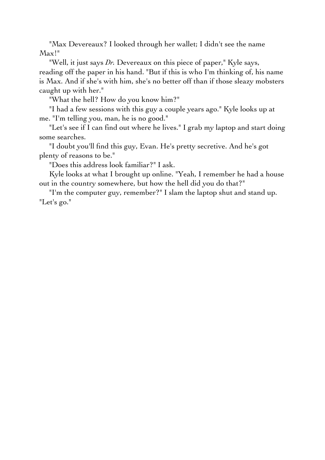"Max Devereaux? I looked through her wallet; I didn't see the name Max!"

"Well, it just says *Dr.* Devereaux on this piece of paper," Kyle says, reading off the paper in his hand. "But if this is who I'm thinking of, his name is Max. And if she's with him, she's no better off than if those sleazy mobsters caught up with her."

"What the hell? How do you know him?"

"I had a few sessions with this guy a couple years ago." Kyle looks up at me. "I'm telling you, man, he is no good."

"Let's see if I can find out where he lives." I grab my laptop and start doing some searches.

"I doubt you'll find this guy, Evan. He's pretty secretive. And he's got plenty of reasons to be."

"Does this address look familiar?" I ask.

Kyle looks at what I brought up online. "Yeah, I remember he had a house out in the country somewhere, but how the hell did you do that?"

"I'm the computer guy, remember?" I slam the laptop shut and stand up. "Let's go."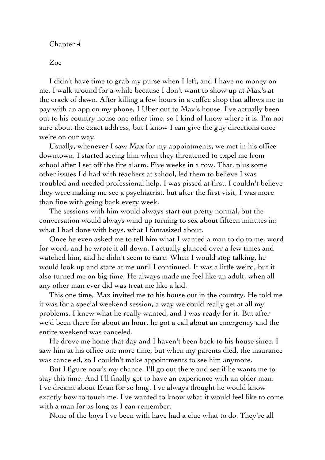#### Chapter 4

#### Zoe

I didn't have time to grab my purse when I left, and I have no money on me. I walk around for a while because I don't want to show up at Max's at the crack of dawn. After killing a few hours in a coffee shop that allows me to pay with an app on my phone, I Uber out to Max's house. I've actually been out to his country house one other time, so I kind of know where it is. I'm not sure about the exact address, but I know I can give the guy directions once we're on our way.

Usually, whenever I saw Max for my appointments, we met in his office downtown. I started seeing him when they threatened to expel me from school after I set off the fire alarm. Five weeks in a row. That, plus some other issues I'd had with teachers at school, led them to believe I was troubled and needed professional help. I was pissed at first. I couldn't believe they were making me see a psychiatrist, but after the first visit, I was more than fine with going back every week.

The sessions with him would always start out pretty normal, but the conversation would always wind up turning to sex about fifteen minutes in; what I had done with boys, what I fantasized about.

Once he even asked me to tell him what I wanted a man to do to me, word for word, and he wrote it all down. I actually glanced over a few times and watched him, and he didn't seem to care. When I would stop talking, he would look up and stare at me until I continued. It was a little weird, but it also turned me on big time. He always made me feel like an adult, when all any other man ever did was treat me like a kid.

This one time, Max invited me to his house out in the country. He told me it was for a special weekend session, a way we could really get at all my problems. I knew what he really wanted, and I was ready for it. But after we'd been there for about an hour, he got a call about an emergency and the entire weekend was canceled.

He drove me home that day and I haven't been back to his house since. I saw him at his office one more time, but when my parents died, the insurance was canceled, so I couldn't make appointments to see him anymore.

But I figure now's my chance. I'll go out there and see if he wants me to stay this time. And I'll finally get to have an experience with an older man. I've dreamt about Evan for so long. I've always thought he would know exactly how to touch me. I've wanted to know what it would feel like to come with a man for as long as I can remember.

None of the boys I've been with have had a clue what to do. They're all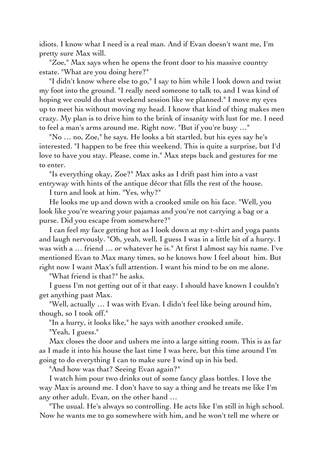idiots. I know what I need is a real man. And if Evan doesn't want me, I'm pretty sure Max will.

"Zoe," Max says when he opens the front door to his massive country estate. "What are you doing here?"

"I didn't know where else to go," I say to him while I look down and twist my foot into the ground. "I really need someone to talk to, and I was kind of hoping we could do that weekend session like we planned." I move my eyes up to meet his without moving my head. I know that kind of thing makes men crazy. My plan is to drive him to the brink of insanity with lust for me. I need to feel a man's arms around me. Right now. "But if you're busy …"

"No … no, Zoe," he says. He looks a bit startled, but his eyes say he's interested. "I happen to be free this weekend. This is quite a surprise, but I'd love to have you stay. Please, come in." Max steps back and gestures for me to enter.

"Is everything okay, Zoe?" Max asks as I drift past him into a vast entryway with hints of the antique décor that fills the rest of the house.

I turn and look at him. "Yes, why?"

He looks me up and down with a crooked smile on his face. "Well, you look like you're wearing your pajamas and you're not carrying a bag or a purse. Did you escape from somewhere?"

I can feel my face getting hot as I look down at my t-shirt and yoga pants and laugh nervously. "Oh, yeah, well, I guess I was in a little bit of a hurry. I was with a … friend … or whatever he is." At first I almost say his name. I've mentioned Evan to Max many times, so he knows how I feel about him. But right now I want Max's full attention. I want his mind to be on me alone.

"What friend is that?" he asks.

I guess I'm not getting out of it that easy. I should have known I couldn't get anything past Max.

"Well, actually … I was with Evan. I didn't feel like being around him, though, so I took off."

"In a hurry, it looks like," he says with another crooked smile.

"Yeah, I guess."

Max closes the door and ushers me into a large sitting room. This is as far as I made it into his house the last time I was here, but this time around I'm going to do everything I can to make sure I wind up in his bed.

"And how was that? Seeing Evan again?"

I watch him pour two drinks out of some fancy glass bottles. I love the way Max is around me. I don't have to say a thing and he treats me like I'm any other adult. Evan, on the other hand …

"The usual. He's always so controlling. He acts like I'm still in high school. Now he wants me to go somewhere with him, and he won't tell me where or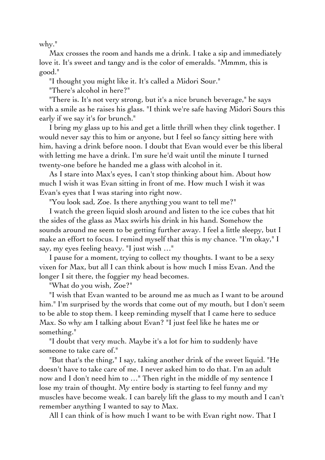why."

Max crosses the room and hands me a drink. I take a sip and immediately love it. It's sweet and tangy and is the color of emeralds. "Mmmm, this is good."

"I thought you might like it. It's called a Midori Sour."

"There's alcohol in here?"

"There is. It's not very strong, but it's a nice brunch beverage," he says with a smile as he raises his glass. "I think we're safe having Midori Sours this early if we say it's for brunch."

I bring my glass up to his and get a little thrill when they clink together. I would never say this to him or anyone, but I feel so fancy sitting here with him, having a drink before noon. I doubt that Evan would ever be this liberal with letting me have a drink. I'm sure he'd wait until the minute I turned twenty-one before he handed me a glass with alcohol in it.

As I stare into Max's eyes, I can't stop thinking about him. About how much I wish it was Evan sitting in front of me. How much I wish it was Evan's eyes that I was staring into right now.

"You look sad, Zoe. Is there anything you want to tell me?"

I watch the green liquid slosh around and listen to the ice cubes that hit the sides of the glass as Max swirls his drink in his hand. Somehow the sounds around me seem to be getting further away. I feel a little sleepy, but I make an effort to focus. I remind myself that this is my chance. "I'm okay," I say, my eyes feeling heavy. "I just wish …"

I pause for a moment, trying to collect my thoughts. I want to be a sexy vixen for Max, but all I can think about is how much I miss Evan. And the longer I sit there, the foggier my head becomes.

"What do you wish, Zoe?"

"I wish that Evan wanted to be around me as much as I want to be around him." I'm surprised by the words that come out of my mouth, but I don't seem to be able to stop them. I keep reminding myself that I came here to seduce Max. So why am I talking about Evan? "I just feel like he hates me or something."

"I doubt that very much. Maybe it's a lot for him to suddenly have someone to take care of."

"But that's the thing," I say, taking another drink of the sweet liquid. "He doesn't have to take care of me. I never asked him to do that. I'm an adult now and I don't need him to …" Then right in the middle of my sentence I lose my train of thought. My entire body is starting to feel funny and my muscles have become weak. I can barely lift the glass to my mouth and I can't remember anything I wanted to say to Max.

All I can think of is how much I want to be with Evan right now. That I